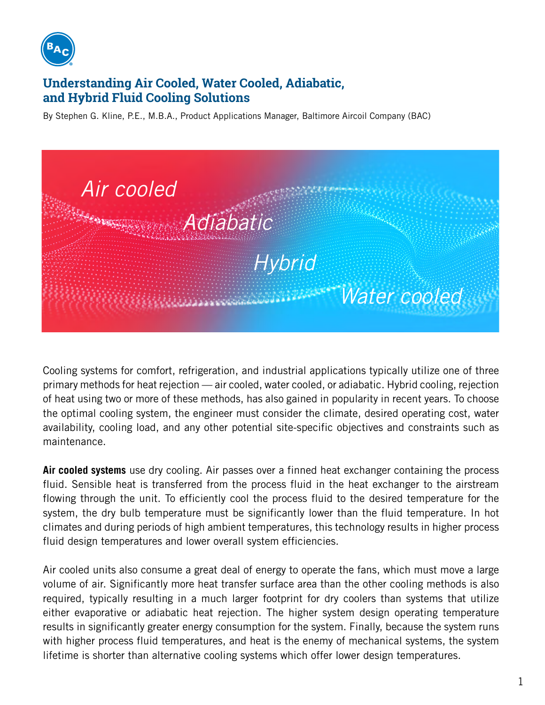

## **Understanding Air Cooled, Water Cooled, Adiabatic, and Hybrid Fluid Cooling Solutions**

By Stephen G. Kline, P.E., M.B.A., Product Applications Manager, Baltimore Aircoil Company (BAC)

*Air cooled Water cooled Adiabatic Hybrid*

Cooling systems for comfort, refrigeration, and industrial applications typically utilize one of three primary methods for heat rejection — air cooled, water cooled, or adiabatic. Hybrid cooling, rejection of heat using two or more of these methods, has also gained in popularity in recent years. To choose the optimal cooling system, the engineer must consider the climate, desired operating cost, water availability, cooling load, and any other potential site-specific objectives and constraints such as maintenance.

**Air cooled systems** use dry cooling. Air passes over a finned heat exchanger containing the process fluid. Sensible heat is transferred from the process fluid in the heat exchanger to the airstream flowing through the unit. To efficiently cool the process fluid to the desired temperature for the system, the dry bulb temperature must be significantly lower than the fluid temperature. In hot climates and during periods of high ambient temperatures, this technology results in higher process fluid design temperatures and lower overall system efficiencies.

Air cooled units also consume a great deal of energy to operate the fans, which must move a large volume of air. Significantly more heat transfer surface area than the other cooling methods is also required, typically resulting in a much larger footprint for dry coolers than systems that utilize either evaporative or adiabatic heat rejection. The higher system design operating temperature results in significantly greater energy consumption for the system. Finally, because the system runs with higher process fluid temperatures, and heat is the enemy of mechanical systems, the system lifetime is shorter than alternative cooling systems which offer lower design temperatures.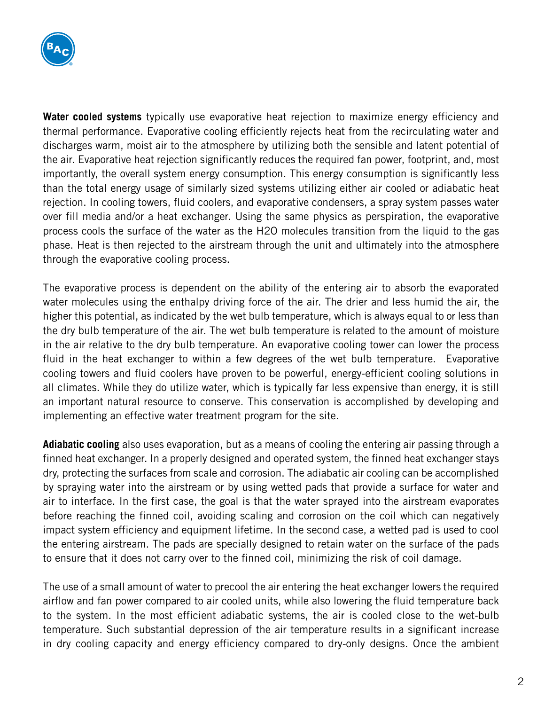

**Water cooled systems** typically use evaporative heat rejection to maximize energy efficiency and thermal performance. Evaporative cooling efficiently rejects heat from the recirculating water and discharges warm, moist air to the atmosphere by utilizing both the sensible and latent potential of the air. Evaporative heat rejection significantly reduces the required fan power, footprint, and, most importantly, the overall system energy consumption. This energy consumption is significantly less than the total energy usage of similarly sized systems utilizing either air cooled or adiabatic heat rejection. In cooling towers, fluid coolers, and evaporative condensers, a spray system passes water over fill media and/or a heat exchanger. Using the same physics as perspiration, the evaporative process cools the surface of the water as the H2O molecules transition from the liquid to the gas phase. Heat is then rejected to the airstream through the unit and ultimately into the atmosphere through the evaporative cooling process.

The evaporative process is dependent on the ability of the entering air to absorb the evaporated water molecules using the enthalpy driving force of the air. The drier and less humid the air, the higher this potential, as indicated by the wet bulb temperature, which is always equal to or less than the dry bulb temperature of the air. The wet bulb temperature is related to the amount of moisture in the air relative to the dry bulb temperature. An evaporative cooling tower can lower the process fluid in the heat exchanger to within a few degrees of the wet bulb temperature. Evaporative cooling towers and fluid coolers have proven to be powerful, energy-efficient cooling solutions in all climates. While they do utilize water, which is typically far less expensive than energy, it is still an important natural resource to conserve. This conservation is accomplished by developing and implementing an effective water treatment program for the site.

**Adiabatic cooling** also uses evaporation, but as a means of cooling the entering air passing through a finned heat exchanger. In a properly designed and operated system, the finned heat exchanger stays dry, protecting the surfaces from scale and corrosion. The adiabatic air cooling can be accomplished by spraying water into the airstream or by using wetted pads that provide a surface for water and air to interface. In the first case, the goal is that the water sprayed into the airstream evaporates before reaching the finned coil, avoiding scaling and corrosion on the coil which can negatively impact system efficiency and equipment lifetime. In the second case, a wetted pad is used to cool the entering airstream. The pads are specially designed to retain water on the surface of the pads to ensure that it does not carry over to the finned coil, minimizing the risk of coil damage.

The use of a small amount of water to precool the air entering the heat exchanger lowers the required airflow and fan power compared to air cooled units, while also lowering the fluid temperature back to the system. In the most efficient adiabatic systems, the air is cooled close to the wet-bulb temperature. Such substantial depression of the air temperature results in a significant increase in dry cooling capacity and energy efficiency compared to dry-only designs. Once the ambient